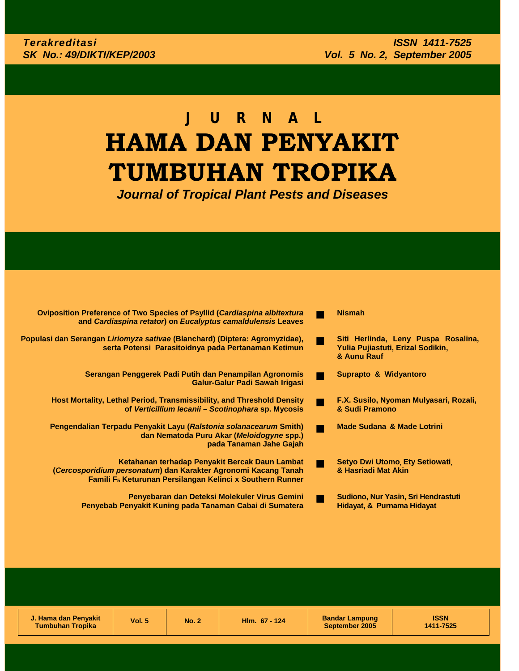# **JURNAL HAMA DAN PENYAKIT TUMBUHAN TROPIKA**

*Journal of Tropical Plant Pests and Diseases*

| <b>Oviposition Preference of Two Species of Psyllid (Cardiaspina albitextura</b><br>and Cardiaspina retator) on Eucalyptus camaldulensis Leaves                                           |   | <b>Nismah</b>                                                                           |
|-------------------------------------------------------------------------------------------------------------------------------------------------------------------------------------------|---|-----------------------------------------------------------------------------------------|
| Populasi dan Serangan Liriomyza sativae (Blanchard) (Diptera: Agromyzidae),<br>serta Potensi Parasitoidnya pada Pertanaman Ketimun                                                        | m | Siti Herlinda, Leny Puspa Rosalina,<br>Yulia Pujiastuti, Erizal Sodikin,<br>& Aunu Rauf |
| Serangan Penggerek Padi Putih dan Penampilan Agronomis<br>Galur-Galur Padi Sawah Irigasi                                                                                                  |   | Suprapto & Widyantoro                                                                   |
| <b>Host Mortality, Lethal Period, Transmissibility, and Threshold Density</b><br>of Verticillium lecanii - Scotinophara sp. Mycosis                                                       |   | F.X. Susilo, Nyoman Mulyasari, Rozali,<br>& Sudi Pramono                                |
| Pengendalian Terpadu Penyakit Layu (Ralstonia solanacearum Smith)<br>dan Nematoda Puru Akar (Meloidogyne spp.)<br>pada Tanaman Jahe Gajah                                                 | m | <b>Made Sudana &amp; Made Lotrini</b>                                                   |
| Ketahanan terhadap Penyakit Bercak Daun Lambat<br>(Cercosporidium personatum) dan Karakter Agronomi Kacang Tanah<br>Famili F <sub>5</sub> Keturunan Persilangan Kelinci x Southern Runner |   | Setyo Dwi Utomo, Ety Setiowati,<br>& Hasriadi Mat Akin                                  |
| Penyebaran dan Deteksi Molekuler Virus Gemini<br>Penyebab Penyakit Kuning pada Tanaman Cabai di Sumatera                                                                                  |   | Sudiono, Nur Yasin, Sri Hendrastuti<br>Hidayat, & Purnama Hidayat                       |

| J. Hama dan Penyakit<br><b>Tumbuhan Tropika</b> | Vol. 5 | <b>No. 2</b> | Hlm. 67 - 124 | <b>Bandar Lampung</b><br>September 2005 | <b>ISSN</b><br>1411-7525 |
|-------------------------------------------------|--------|--------------|---------------|-----------------------------------------|--------------------------|
|                                                 |        |              |               |                                         |                          |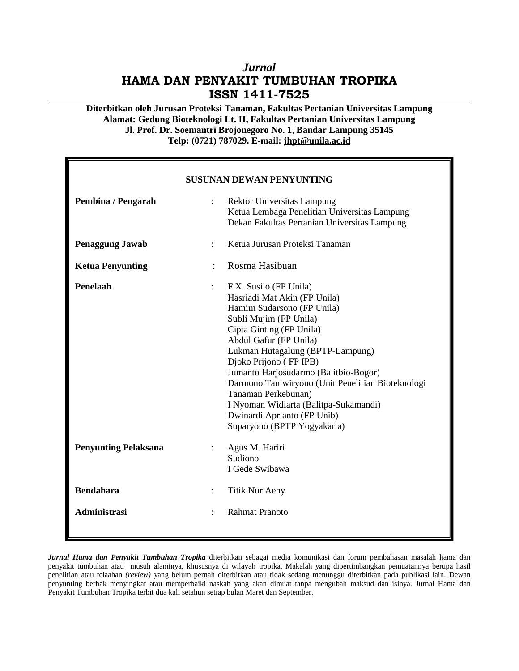## *Jurnal* **HAMA DAN PENYAKIT TUMBUHAN TROPIKA ISSN 1411-7525**

**Diterbitkan oleh Jurusan Proteksi Tanaman, Fakultas Pertanian Universitas Lampung Alamat: Gedung Bioteknologi Lt. II, Fakultas Pertanian Universitas Lampung Jl. Prof. Dr. Soemantri Brojonegoro No. 1, Bandar Lampung 35145 Telp: (0721) 787029. E-mail: jhpt@unila.ac.id**

| <b>SUSUNAN DEWAN PENYUNTING</b> |                                                                                                                                                                                                                                                                                                                                                                                                                                                                |  |  |  |  |
|---------------------------------|----------------------------------------------------------------------------------------------------------------------------------------------------------------------------------------------------------------------------------------------------------------------------------------------------------------------------------------------------------------------------------------------------------------------------------------------------------------|--|--|--|--|
| Pembina / Pengarah              | <b>Rektor Universitas Lampung</b><br>$\ddot{\cdot}$<br>Ketua Lembaga Penelitian Universitas Lampung<br>Dekan Fakultas Pertanian Universitas Lampung                                                                                                                                                                                                                                                                                                            |  |  |  |  |
| <b>Penaggung Jawab</b>          | Ketua Jurusan Proteksi Tanaman<br>$\ddot{\cdot}$                                                                                                                                                                                                                                                                                                                                                                                                               |  |  |  |  |
| <b>Ketua Penyunting</b>         | Rosma Hasibuan                                                                                                                                                                                                                                                                                                                                                                                                                                                 |  |  |  |  |
| Penelaah                        | F.X. Susilo (FP Unila)<br>Hasriadi Mat Akin (FP Unila)<br>Hamim Sudarsono (FP Unila)<br>Subli Mujim (FP Unila)<br>Cipta Ginting (FP Unila)<br>Abdul Gafur (FP Unila)<br>Lukman Hutagalung (BPTP-Lampung)<br>Djoko Prijono (FP IPB)<br>Jumanto Harjosudarmo (Balitbio-Bogor)<br>Darmono Taniwiryono (Unit Penelitian Bioteknologi<br>Tanaman Perkebunan)<br>I Nyoman Widiarta (Balitpa-Sukamandi)<br>Dwinardi Aprianto (FP Unib)<br>Suparyono (BPTP Yogyakarta) |  |  |  |  |
| <b>Penyunting Pelaksana</b>     | Agus M. Hariri<br>$\ddot{\phantom{a}}$<br>Sudiono<br>I Gede Swibawa                                                                                                                                                                                                                                                                                                                                                                                            |  |  |  |  |
| <b>Bendahara</b>                | <b>Titik Nur Aeny</b>                                                                                                                                                                                                                                                                                                                                                                                                                                          |  |  |  |  |
| <b>Administrasi</b>             | <b>Rahmat Pranoto</b>                                                                                                                                                                                                                                                                                                                                                                                                                                          |  |  |  |  |

*Jurnal Hama dan Penyakit Tumbuhan Tropika* diterbitkan sebagai media komunikasi dan forum pembahasan masalah hama dan penyakit tumbuhan atau musuh alaminya, khususnya di wilayah tropika. Makalah yang dipertimbangkan pemuatannya berupa hasil penelitian atau telaahan *(review)* yang belum pernah diterbitkan atau tidak sedang menunggu diterbitkan pada publikasi lain. Dewan penyunting berhak menyingkat atau memperbaiki naskah yang akan dimuat tanpa mengubah maksud dan isinya. Jurnal Hama dan Penyakit Tumbuhan Tropika terbit dua kali setahun setiap bulan Maret dan September.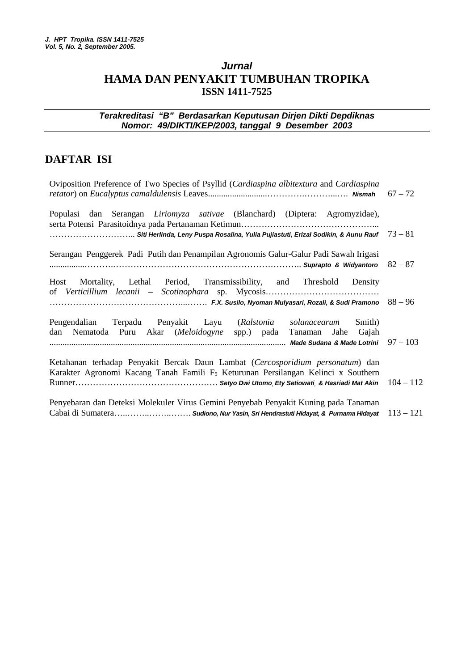## *Jurnal* **HAMA DAN PENYAKIT TUMBUHAN TROPIKA ISSN 1411-7525**

### *Terakreditasi "B" Berdasarkan Keputusan Dirjen Dikti Depdiknas Nomor: 49/DIKTI/KEP/2003, tanggal 9 Desember 2003*

## **DAFTAR ISI**

| Oviposition Preference of Two Species of Psyllid (Cardiaspina albitextura and Cardiaspina                                                                                                                          | $67 - 72$ |
|--------------------------------------------------------------------------------------------------------------------------------------------------------------------------------------------------------------------|-----------|
| Populasi dan Serangan Liriomyza sativae (Blanchard) (Diptera: Agromyzidae),                                                                                                                                        |           |
| $\ldots\ldots\ldots\ldots\ldots\ldots\ldots$ . Siti Herlinda, Leny Puspa Rosalina, Yulia Pujiastuti, Erizal Sodikin, & Aunu Rauf $73-81$                                                                           |           |
| Serangan Penggerek Padi Putih dan Penampilan Agronomis Galur-Galur Padi Sawah Irigasi                                                                                                                              |           |
| Host Mortality, Lethal Period, Transmissibility, and Threshold Density                                                                                                                                             |           |
| Pengendalian Terpadu Penyakit Layu (Ralstonia solanacearum Smith)<br>dan Nematoda Puru Akar (Meloidogyne spp.) pada Tanaman Jahe Gajah<br>……………………………………………………………………………………………… Made Sudana &Made Lotrini  97 - 103 |           |
| Ketahanan terhadap Penyakit Bercak Daun Lambat (Cercosporidium personatum) dan<br>Karakter Agronomi Kacang Tanah Famili F <sub>5</sub> Keturunan Persilangan Kelinci x Southern                                    |           |
| Penyebaran dan Deteksi Molekuler Virus Gemini Penyebab Penyakit Kuning pada Tanaman<br>Cabai di Sumatera Sudiono, Nur Yasin, Sri Hendrastuti Hidayat, & Purnama Hidayat 113 - 121                                  |           |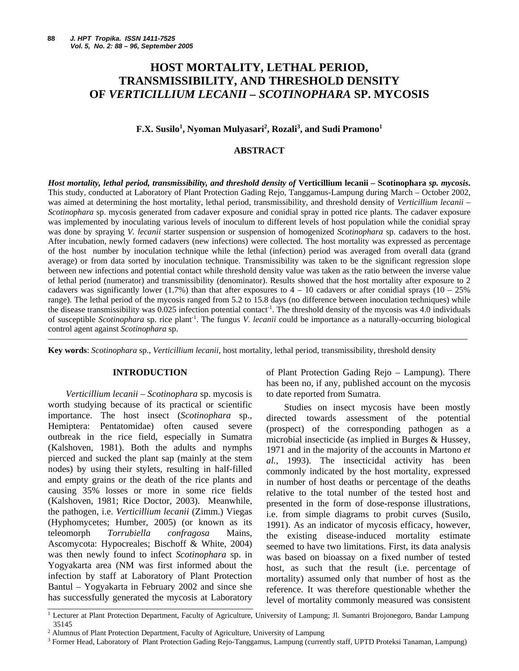## **HOST MORTALITY, LETHAL PERIOD, TRANSMISSIBILITY, AND THRESHOLD DENSITY OF** *VERTICILLIUM LECANII – SCOTINOPHARA* **SP. MYCOSIS**

#### $\mathbf{F}.\mathbf{X}.$  Susilo<sup>1</sup>, Nyoman Mulyasari<sup>2</sup>, Rozali<sup>3</sup>, and Sudi Pramono<sup>1</sup>

#### **ABSTRACT**

*Host mortality, lethal period, transmissibility, and threshold density of* **Verticillium lecanii** *–* **Scotinophara** *sp. mycosis***.** This study, conducted at Laboratory of Plant Protection Gading Rejo, Tanggamus-Lampung during March – October 2002, was aimed at determining the host mortality, lethal period, transmissibility, and threshold density of *Verticillium lecanii – Scotinophara* sp. mycosis generated from cadaver exposure and conidial spray in potted rice plants. The cadaver exposure was implemented by inoculating various levels of inoculum to different levels of host population while the conidial spray was done by spraying *V. lecanii* starter suspension or suspension of homogenized *Scotinophara* sp. cadavers to the host. After incubation, newly formed cadavers (new infections) were collected. The host mortality was expressed as percentage of the host number by inoculation technique while the lethal (infection) period was averaged from overall data (grand average) or from data sorted by inoculation technique. Transmissibility was taken to be the significant regression slope between new infections and potential contact while threshold density value was taken as the ratio between the inverse value of lethal period (numerator) and transmissibility (denominator). Results showed that the host mortality after exposure to 2 cadavers was significantly lower (1.7%) than that after exposures to  $4 - 10$  cadavers or after conidial sprays (10 – 25%) range). The lethal period of the mycosis ranged from 5.2 to 15.8 days (no difference between inoculation techniques) while the disease transmissibility was 0.025 infection potential contact<sup>-1</sup>. The threshold density of the mycosis was 4.0 individuals of susceptible *Scotinophara* sp. rice plant-1 . The fungus *V. lecanii* could be importance as a naturally-occurring biological control agent against *Scotinophara* sp.

**Key words**: *Scotinophara* sp., *Verticillium lecanii,* host mortality, lethal period, transmissibility, threshold density

#### **INTRODUCTION**

*Verticillium lecanii – Scotinophara* sp. mycosis is worth studying because of its practical or scientific importance. The host insect (*Scotinophara* sp., Hemiptera: Pentatomidae) often caused severe outbreak in the rice field, especially in Sumatra (Kalshoven, 1981). Both the adults and nymphs pierced and sucked the plant sap (mainly at the stem nodes) by using their stylets, resulting in half-filled and empty grains or the death of the rice plants and causing 35% losses or more in some rice fields (Kalshoven, 1981; Rice Doctor, 2003). Meanwhile, the pathogen, i.e. *Verticillium lecanii* (Zimm.) Viegas (Hyphomycetes; Humber, 2005) (or known as its teleomorph *Torrubiella confragosa* Mains*,*  Ascomycota: Hypocreales; Bischoff & White, 2004) was then newly found to infect *Scotinophara* sp. in Yogyakarta area (NM was first informed about the infection by staff at Laboratory of Plant Protection Bantul – Yogyakarta in February 2002 and since she has successfully generated the mycosis at Laboratory

of Plant Protection Gading Rejo – Lampung). There has been no, if any, published account on the mycosis to date reported from Sumatra.

Studies on insect mycosis have been mostly directed towards assessment of the potential (prospect) of the corresponding pathogen as a microbial insecticide (as implied in Burges & Hussey, 1971 and in the majority of the accounts in Martono *et al.,* 1993). The insecticidal activity has been commonly indicated by the host mortality, expressed in number of host deaths or percentage of the deaths relative to the total number of the tested host and presented in the form of dose-response illustrations, i.e. from simple diagrams to probit curves (Susilo, 1991). As an indicator of mycosis efficacy, however, the existing disease-induced mortality estimate seemed to have two limitations. First, its data analysis was based on bioassay on a fixed number of tested host, as such that the result (i.e. percentage of mortality) assumed only that number of host as the reference. It was therefore questionable whether the level of mortality commonly measured was consistent

<sup>&</sup>lt;sup>1</sup> Lecturer at Plant Protection Department, Faculty of Agriculture, University of Lampung; Jl. Sumantri Brojonegoro, Bandar Lampung 35145

<sup>2</sup> Alumnus of Plant Protection Department, Faculty of Agriculture, University of Lampung

<sup>3</sup> Former Head, Laboratory of Plant Protection Gading Rejo-Tanggamus, Lampung (currently staff, UPTD Proteksi Tanaman, Lampung)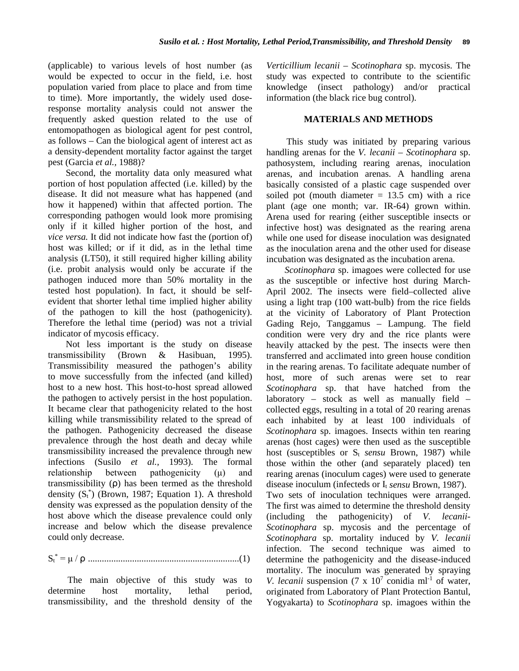(applicable) to various levels of host number (as would be expected to occur in the field, i.e. host population varied from place to place and from time to time). More importantly, the widely used doseresponse mortality analysis could not answer the frequently asked question related to the use of entomopathogen as biological agent for pest control, as follows – Can the biological agent of interest act as a density-dependent mortality factor against the target pest (Garcia *et al.,* 1988)?

Second, the mortality data only measured what portion of host population affected (i.e. killed) by the disease. It did not measure what has happened (and how it happened) within that affected portion. The corresponding pathogen would look more promising only if it killed higher portion of the host, and *vice versa.* It did not indicate how fast the (portion of) host was killed; or if it did, as in the lethal time analysis (LT50), it still required higher killing ability (i.e. probit analysis would only be accurate if the pathogen induced more than 50% mortality in the tested host population). In fact, it should be selfevident that shorter lethal time implied higher ability of the pathogen to kill the host (pathogenicity). Therefore the lethal time (period) was not a trivial indicator of mycosis efficacy.

Not less important is the study on disease transmissibility (Brown & Hasibuan, 1995). Transmissibility measured the pathogen's ability to move successfully from the infected (and killed) host to a new host. This host-to-host spread allowed the pathogen to actively persist in the host population. It became clear that pathogenicity related to the host killing while transmissibility related to the spread of the pathogen. Pathogenicity decreased the disease prevalence through the host death and decay while transmissibility increased the prevalence through new infections (Susilo *et al.,* 1993). The formal relationship between pathogenicity (μ) and transmissibility (ρ) has been termed as the threshold density  $(S_t^*)$  (Brown, 1987; Equation 1). A threshold density was expressed as the population density of the host above which the disease prevalence could only increase and below which the disease prevalence could only decrease.

St \* = μ / ρ .................................................................(1)

The main objective of this study was to determine host mortality, lethal period, transmissibility, and the threshold density of the *Verticillium lecanii – Scotinophara* sp. mycosis. The study was expected to contribute to the scientific knowledge (insect pathology) and/or practical information (the black rice bug control).

#### **MATERIALS AND METHODS**

This study was initiated by preparing various handling arenas for the *V. lecanii – Scotinophara* sp. pathosystem, including rearing arenas, inoculation arenas, and incubation arenas. A handling arena basically consisted of a plastic cage suspended over soiled pot (mouth diameter  $= 13.5$  cm) with a rice plant (age one month; var. IR-64) grown within. Arena used for rearing (either susceptible insects or infective host) was designated as the rearing arena while one used for disease inoculation was designated as the inoculation arena and the other used for disease incubation was designated as the incubation arena.

*Scotinophara* sp. imagoes were collected for use as the susceptible or infective host during March-April 2002. The insects were field–collected alive using a light trap (100 watt-bulb) from the rice fields at the vicinity of Laboratory of Plant Protection Gading Rejo, Tanggamus – Lampung. The field condition were very dry and the rice plants were heavily attacked by the pest. The insects were then transferred and acclimated into green house condition in the rearing arenas. To facilitate adequate number of host, more of such arenas were set to rear *Scotinophara* sp. that have hatched from the laboratory – stock as well as manually field – collected eggs, resulting in a total of 20 rearing arenas each inhabited by at least 100 individuals of *Scotinophara* sp. imagoes. Insects within ten rearing arenas (host cages) were then used as the susceptible host (susceptibles or S<sub>t</sub> *sensu* Brown, 1987) while those within the other (and separately placed) ten rearing arenas (inoculum cages) were used to generate disease inoculum (infecteds or I<sub>t</sub> *sensu* Brown, 1987). Two sets of inoculation techniques were arranged. The first was aimed to determine the threshold density (including the pathogenicity) of *V. lecanii-Scotinophara* sp. mycosis and the percentage of *Scotinophara* sp. mortality induced by *V. lecanii*  infection. The second technique was aimed to determine the pathogenicity and the disease-induced mortality. The inoculum was generated by spraying *V. lecanii* suspension (7 x  $10^7$  conidia ml<sup>-1</sup> of water, originated from Laboratory of Plant Protection Bantul, Yogyakarta) to *Scotinophara* sp. imagoes within the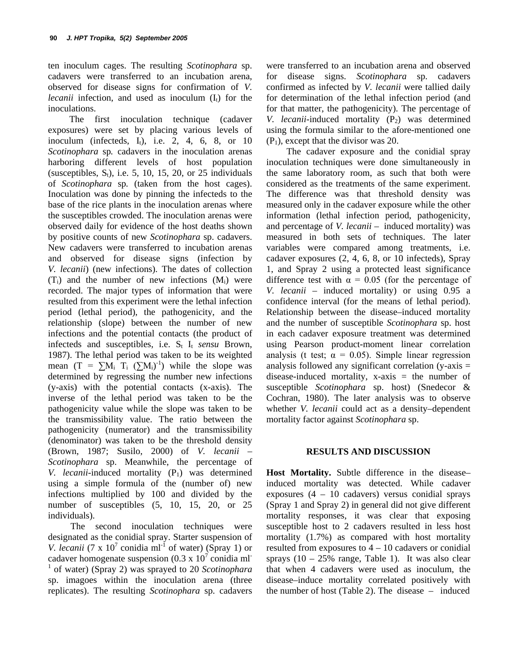ten inoculum cages. The resulting *Scotinophara* sp. cadavers were transferred to an incubation arena, observed for disease signs for confirmation of *V. lecanii* infection, and used as inoculum  $(I_t)$  for the inoculations.

The first inoculation technique (cadaver exposures) were set by placing various levels of inoculum (infecteds,  $I_t$ ), i.e. 2, 4, 6, 8, or 10 *Scotinophara* sp*.* cadavers in the inoculation arenas harboring different levels of host population (susceptibles,  $S_t$ ), i.e. 5, 10, 15, 20, or 25 individuals of *Scotinophara* sp*.* (taken from the host cages). Inoculation was done by pinning the infecteds to the base of the rice plants in the inoculation arenas where the susceptibles crowded. The inoculation arenas were observed daily for evidence of the host deaths shown by positive counts of new *Scotinophara* sp. cadavers. New cadavers were transferred to incubation arenas and observed for disease signs (infection by *V. lecanii*) (new infections). The dates of collection  $(T_i)$  and the number of new infections  $(M_i)$  were recorded. The major types of information that were resulted from this experiment were the lethal infection period (lethal period), the pathogenicity, and the relationship (slope) between the number of new infections and the potential contacts (the product of infecteds and susceptibles, i.e. S<sub>t</sub> I<sub>t</sub> *sensu* Brown, 1987). The lethal period was taken to be its weighted mean  $(T = \sum M_i T_i (\sum M_i)^{-1})$  while the slope was determined by regressing the number new infections (y-axis) with the potential contacts (x-axis). The inverse of the lethal period was taken to be the pathogenicity value while the slope was taken to be the transmissibility value. The ratio between the pathogenicity (numerator) and the transmissibility (denominator) was taken to be the threshold density (Brown, 1987; Susilo, 2000) of *V. lecanii – Scotinophara* sp. Meanwhile, the percentage of *V. lecanii*-induced mortality  $(P_1)$  was determined using a simple formula of the (number of) new infections multiplied by 100 and divided by the number of susceptibles  $(5, 10, 15, 20, 0.05)$ individuals).

The second inoculation techniques were designated as the conidial spray. Starter suspension of *V. lecanii* (7 x  $10^7$  conidia ml<sup>-1</sup> of water) (Spray 1) or cadaver homogenate suspension  $(0.3 \times 10^7 \text{ conidia ml}^{-1})$ <sup>1</sup> of water) (Spray 2) was sprayed to 20 *Scotinophara*  sp. imagoes within the inoculation arena (three replicates). The resulting *Scotinophara* sp. cadavers were transferred to an incubation arena and observed for disease signs. *Scotinophara* sp. cadavers confirmed as infected by *V. lecanii* were tallied daily for determination of the lethal infection period (and for that matter, the pathogenicity). The percentage of *V. lecanii*-induced mortality  $(P_2)$  was determined using the formula similar to the afore-mentioned one  $(P_1)$ , except that the divisor was 20.

The cadaver exposure and the conidial spray inoculation techniques were done simultaneously in the same laboratory room, as such that both were considered as the treatments of the same experiment. The difference was that threshold density was measured only in the cadaver exposure while the other information (lethal infection period, pathogenicity, and percentage of *V. lecanii –* induced mortality) was measured in both sets of techniques. The later variables were compared among treatments, i.e. cadaver exposures (2, 4, 6, 8, or 10 infecteds), Spray 1, and Spray 2 using a protected least significance difference test with  $\alpha = 0.05$  (for the percentage of *V. lecanii –* induced mortality) or using 0.95 a confidence interval (for the means of lethal period). Relationship between the disease–induced mortality and the number of susceptible *Scotinophara* sp. host in each cadaver exposure treatment was determined using Pearson product-moment linear correlation analysis (t test;  $\alpha = 0.05$ ). Simple linear regression analysis followed any significant correlation ( $y$ -axis  $=$ disease-induced mortality,  $x-axis = the number of$ susceptible *Scotinophara* sp. host) (Snedecor & Cochran, 1980). The later analysis was to observe whether *V. lecanii* could act as a density–dependent mortality factor against *Scotinophara* sp.

#### **RESULTS AND DISCUSSION**

**Host Mortality.** Subtle difference in the disease– induced mortality was detected. While cadaver exposures (4 – 10 cadavers) versus conidial sprays (Spray 1 and Spray 2) in general did not give different mortality responses, it was clear that exposing susceptible host to 2 cadavers resulted in less host mortality (1.7%) as compared with host mortality resulted from exposures to 4 – 10 cadavers or conidial sprays  $(10 - 25\%$  range, Table 1). It was also clear that when 4 cadavers were used as inoculum, the disease–induce mortality correlated positively with the number of host (Table 2). The disease – induced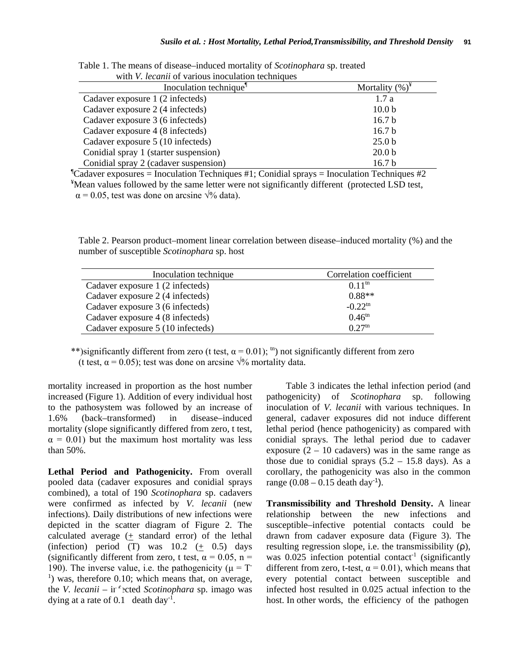| with v. <i>lecanu</i> of various moculation techniques |                    |
|--------------------------------------------------------|--------------------|
| Inoculation technique <sup>1</sup>                     | Mortality $(\%)^*$ |
| Cadaver exposure 1 (2 infecteds)                       | 1.7a               |
| Cadaver exposure 2 (4 infecteds)                       | 10.0 <sub>b</sub>  |
| Cadaver exposure 3 (6 infecteds)                       | 16.7 <sub>b</sub>  |
| Cadaver exposure 4 (8 infecteds)                       | 16.7 <sub>b</sub>  |
| Cadaver exposure 5 (10 infecteds)                      | 25.0 <sub>b</sub>  |
| Conidial spray 1 (starter suspension)                  | 20.0 <sub>b</sub>  |
| Conidial spray 2 (cadaver suspension)                  | 16.7 <sub>b</sub>  |

Table 1. The means of disease–induced mortality of *Scotinophara* sp. treated with *V. lecanii* of various inoculation techniques

¶ Cadaver exposures = Inoculation Techniques #1; Conidial sprays = Inoculation Techniques #2 <sup>¥</sup>Mean values followed by the same letter were not significantly different (protected LSD test,

 $\alpha$  = 0.05, test was done on arcsine  $\sqrt{\%}$  data).

Table 2. Pearson product–moment linear correlation between disease–induced mortality (%) and the number of susceptible *Scotinophara* sp. host

| Inoculation technique             | Correlation coefficient |
|-----------------------------------|-------------------------|
| Cadaver exposure 1 (2 infecteds)  | $0.11^{th}$             |
| Cadaver exposure 2 (4 infecteds)  | $0.88**$                |
| Cadaver exposure 3 (6 infecteds)  | $-0.22^{\text{tn}}$     |
| Cadaver exposure 4 (8 infecteds)  | $0.46^{\text{tn}}$      |
| Cadaver exposure 5 (10 infecteds) | $0.27^{tn}$             |

\*\*)significantly different from zero (t test,  $\alpha = 0.01$ ); <sup>tn</sup>) not significantly different from zero (t test,  $\alpha = 0.05$ ); test was done on arcsine  $\sqrt{\frac{9}{6}}$  mortality data.

mortality increased in proportion as the host number increased (Figure 1). Addition of every individual host to the pathosystem was followed by an increase of 1.6% (back–transformed) in disease–induced mortality (slope significantly differed from zero, t test,  $\alpha = 0.01$ ) but the maximum host mortality was less than 50%.

Lethal Period and Pathogenicity. From overall pooled data (cadaver exposures and conidial sprays combined), a total of 190 *Scotinophara* sp. cadavers were confirmed as infected by *V. lecanii* (new infections). Daily distributions of new infections were depicted in the scatter diagram of Figure 2. The calculated average  $(+$  standard error) of the lethal (infection) period  $(T)$  was  $10.2$   $(+ 0.5)$  days (significantly different from zero, t test,  $\alpha = 0.05$ , n = 190). The inverse value, i.e. the pathogenicity ( $\mu = T$  $<sup>1</sup>$ ) was, therefore 0.10; which means that, on average,</sup> the *V. lecanii* – in "exted *Scotinophara* sp. imago was dying at a rate of 0.1 death day<sup>-1</sup>.

Table 3 indicates the lethal infection period (and pathogenicity) of *Scotinophara* sp. following inoculation of *V. lecanii* with various techniques. In general, cadaver exposures did not induce different lethal period (hence pathogenicity) as compared with conidial sprays. The lethal period due to cadaver exposure  $(2 - 10 \text{ cadavers})$  was in the same range as those due to conidial sprays  $(5.2 - 15.8$  days). As a corollary, the pathogenicity was also in the common range  $(0.08 - 0.15$  death day<sup>-1</sup>).

**Transmissibility and Threshold Density.** A linear relationship between the new infections and susceptible–infective potential contacts could be drawn from cadaver exposure data (Figure 3). The resulting regression slope, i.e. the transmissibility (ρ), was  $0.025$  infection potential contact<sup>-1</sup> (significantly different from zero, t-test,  $\alpha = 0.01$ ), which means that every potential contact between susceptible and infected host resulted in 0.025 actual infection to the host. In other words, the efficiency of the pathogen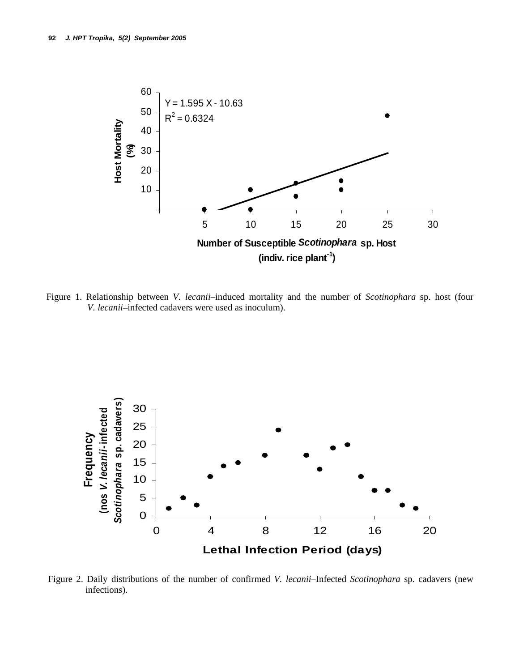

Figure 1. Relationship between *V. lecanii*–induced mortality and the number of *Scotinophara* sp. host (four *V. lecanii*–infected cadavers were used as inoculum).



Figure 2. Daily distributions of the number of confirmed *V. lecanii*–Infected *Scotinophara* sp. cadavers (new infections).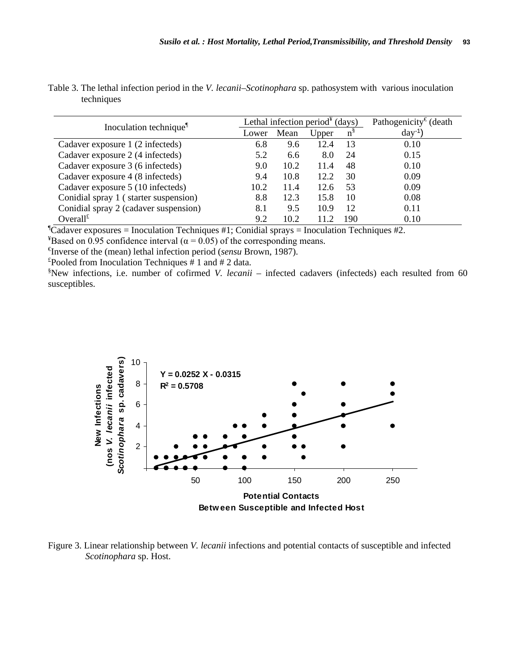| Table 3. The lethal infection period in the <i>V. lecanii–Scotinophara</i> sp. pathosystem with various inoculation |  |  |
|---------------------------------------------------------------------------------------------------------------------|--|--|
| techniques                                                                                                          |  |  |

| Inoculation technique <sup>1</sup>    |      |      | Lethal infection period <sup><math>*</math></sup> (days) | Pathogenicity <sup><math>\epsilon</math></sup> (death |            |
|---------------------------------------|------|------|----------------------------------------------------------|-------------------------------------------------------|------------|
|                                       |      | Mean | Upper                                                    | n <sup>9</sup>                                        | $day^{-1}$ |
| Cadaver exposure 1 (2 infecteds)      | 6.8  | 9.6  | 12.4                                                     | 13                                                    | 0.10       |
| Cadaver exposure 2 (4 infecteds)      | 5.2  | 6.6  | 8.0                                                      | 24                                                    | 0.15       |
| Cadaver exposure 3 (6 infecteds)      | 9.0  | 10.2 | 11.4                                                     | 48                                                    | 0.10       |
| Cadaver exposure 4 (8 infecteds)      | 9.4  | 10.8 | 12.2                                                     | 30                                                    | 0.09       |
| Cadaver exposure 5 (10 infecteds)     | 10.2 | 11.4 | 12.6                                                     | 53                                                    | 0.09       |
| Conidial spray 1 (starter suspension) | 8.8  | 12.3 | 15.8                                                     | 10                                                    | 0.08       |
| Conidial spray 2 (cadaver suspension) | 8.1  | 9.5  | 10.9                                                     | 12                                                    | 0.11       |
| Overall $f$                           | 9.2  | 10.2 | 11.2                                                     | 190                                                   | 0.10       |

¶ Cadaver exposures = Inoculation Techniques #1; Conidial sprays = Inoculation Techniques #2.

<sup>¥</sup>Based on 0.95 confidence interval ( $\alpha$  = 0.05) of the corresponding means.

€ Inverse of the (mean) lethal infection period (*sensu* Brown, 1987).

 $E$ Pooled from Inoculation Techniques # 1 and # 2 data.

§ New infections, i.e. number of cofirmed *V. lecanii –* infected cadavers (infecteds) each resulted from 60 susceptibles.



Figure 3. Linear relationship between *V. lecanii* infections and potential contacts of susceptible and infected *Scotinophara* sp. Host.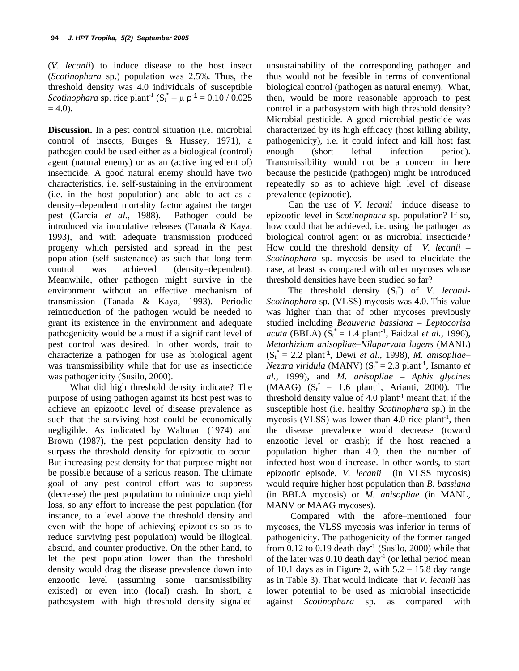(*V. lecanii*) to induce disease to the host insect (*Scotinophara* sp.) population was 2.5%. Thus, the threshold density was 4.0 individuals of susceptible *Scotinophara* sp. rice plant<sup>-1</sup> ( $S_t^* = \mu \rho^{-1} = 0.10 / 0.025$ )  $= 4.0$ ).

**Discussion.** In a pest control situation (i.e. microbial control of insects, Burges & Hussey, 1971), a pathogen could be used either as a biological (control) agent (natural enemy) or as an (active ingredient of) insecticide. A good natural enemy should have two characteristics, i.e. self-sustaining in the environment (i.e. in the host population) and able to act as a density–dependent mortality factor against the target pest (Garcia *et al.,* 1988). Pathogen could be introduced via inoculative releases (Tanada & Kaya, 1993), and with adequate transmission produced progeny which persisted and spread in the pest population (self–sustenance) as such that long–term control was achieved (density–dependent). Meanwhile, other pathogen might survive in the environment without an effective mechanism of transmission (Tanada & Kaya, 1993). Periodic reintroduction of the pathogen would be needed to grant its existence in the environment and adequate pathogenicity would be a must if a significant level of pest control was desired. In other words, trait to characterize a pathogen for use as biological agent was transmissibility while that for use as insecticide was pathogenicity (Susilo, 2000).

What did high threshold density indicate? The purpose of using pathogen against its host pest was to achieve an epizootic level of disease prevalence as such that the surviving host could be economically negligible. As indicated by Waltman (1974) and Brown (1987), the pest population density had to surpass the threshold density for epizootic to occur. But increasing pest density for that purpose might not be possible because of a serious reason. The ultimate goal of any pest control effort was to suppress (decrease) the pest population to minimize crop yield loss, so any effort to increase the pest population (for instance, to a level above the threshold density and even with the hope of achieving epizootics so as to reduce surviving pest population) would be illogical, absurd, and counter productive. On the other hand, to let the pest population lower than the threshold density would drag the disease prevalence down into enzootic level (assuming some transmissibility existed) or even into (local) crash. In short, a pathosystem with high threshold density signaled unsustainability of the corresponding pathogen and thus would not be feasible in terms of conventional biological control (pathogen as natural enemy). What, then, would be more reasonable approach to pest control in a pathosystem with high threshold density? Microbial pesticide. A good microbial pesticide was characterized by its high efficacy (host killing ability, pathogenicity), i.e. it could infect and kill host fast enough (short lethal infection period). Transmissibility would not be a concern in here because the pesticide (pathogen) might be introduced repeatedly so as to achieve high level of disease prevalence (epizootic).

Can the use of *V. lecanii* induce disease to epizootic level in *Scotinophara* sp. population? If so, how could that be achieved, i.e. using the pathogen as biological control agent or as microbial insecticide? How could the threshold density of *V. lecanii – Scotinophara* sp. mycosis be used to elucidate the case, at least as compared with other mycoses whose threshold densities have been studied so far?

The threshold density  $(S_t^*)$  of *V. lecanii*-*Scotinophara* sp. (VLSS) mycosis was 4.0. This value was higher than that of other mycoses previously studied including *Beauveria bassiana – Leptocorisa acuta* (BBLA) (St \* = 1.4 plant-1, Faidzal *et al.,* 1996), *Metarhizium anisopliae–Nilaparvata lugens* (MANL) (St \* = 2.2 plant-1, Dewi *et al.,* 1998), *M. anisopliae– Nezara viridula* (MANV) ( $S_t^* = 2.3$  plant<sup>-1</sup>, Ismanto *et al.,* 1999), and *M. anisopliae – Aphis glycines*   $(MAAG)$   $(S_t^* = 1.6 \text{ plant}^1, Arianti, 2000).$  The threshold density value of  $4.0$  plant<sup>-1</sup> meant that; if the susceptible host (i.e. healthy *Scotinophara* sp.) in the mycosis (VLSS) was lower than  $4.0$  rice plant<sup>-1</sup>, then the disease prevalence would decrease (toward enzootic level or crash); if the host reached a population higher than 4.0, then the number of infected host would increase. In other words, to start epizootic episode, *V. lecanii* (in VLSS mycosis) would require higher host population than *B. bassiana*  (in BBLA mycosis) or *M. anisopliae* (in MANL, MANV or MAAG mycoses).

Compared with the afore*–*mentioned four mycoses, the VLSS mycosis was inferior in terms of pathogenicity. The pathogenicity of the former ranged from  $0.12$  to  $0.19$  death day<sup>-1</sup> (Susilo, 2000) while that of the later was  $0.10$  death day<sup>-1</sup> (or lethal period mean of 10.1 days as in Figure 2, with  $5.2 - 15.8$  day range as in Table 3). That would indicate that *V. lecanii* has lower potential to be used as microbial insecticide against *Scotinophara* sp. as compared with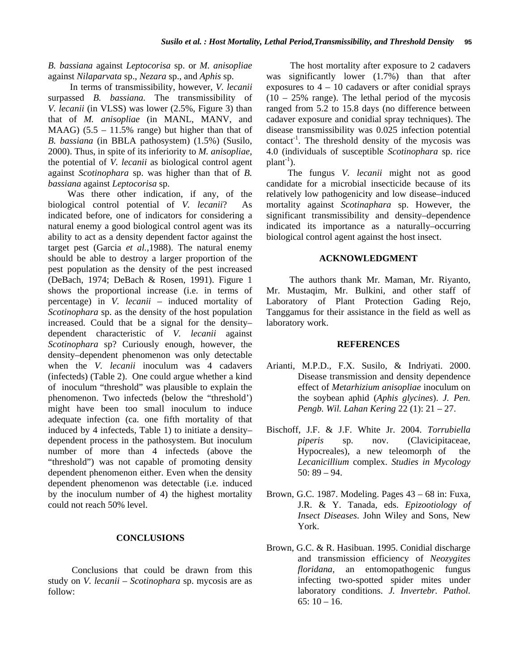#### *B. bassiana* against *Leptocorisa* sp. or *M. anisopliae*  against *Nilaparvata* sp., *Nezara* sp., and *Aphis* sp.

In terms of transmissibility, however, *V. lecanii*  surpassed *B. bassiana.* The transmissibility of *V. lecanii* (in VLSS) was lower (2.5%, Figure 3) than that of *M. anisopliae* (in MANL, MANV, and MAAG)  $(5.5 - 11.5\%$  range) but higher than that of *B. bassiana* (in BBLA pathosystem) (1.5%) (Susilo, 2000). Thus, in spite of its inferiority to *M. anisopliae,*  the potential of *V. lecanii* as biological control agent against *Scotinophara* sp. was higher than that of *B. bassiana* against *Leptocorisa* sp.

Was there other indication, if any, of the biological control potential of *V. lecanii*? As indicated before, one of indicators for considering a natural enemy a good biological control agent was its ability to act as a density dependent factor against the target pest (Garcia *et al.,*1988). The natural enemy should be able to destroy a larger proportion of the pest population as the density of the pest increased (DeBach, 1974; DeBach & Rosen, 1991). Figure 1 shows the proportional increase (i.e. in terms of percentage) in *V. lecanii –* induced mortality of *Scotinophara* sp. as the density of the host population increased. Could that be a signal for the density– dependent characteristic of *V. lecanii* against *Scotinophara* sp? Curiously enough, however, the density–dependent phenomenon was only detectable when the *V. lecanii* inoculum was 4 cadavers (infecteds) (Table 2). One could argue whether a kind of inoculum "threshold" was plausible to explain the phenomenon. Two infecteds (below the "threshold') might have been too small inoculum to induce adequate infection (ca. one fifth mortality of that induced by 4 infecteds, Table 1) to initiate a density– dependent process in the pathosystem. But inoculum number of more than 4 infecteds (above the "threshold") was not capable of promoting density dependent phenomenon either. Even when the density dependent phenomenon was detectable (i.e. induced by the inoculum number of 4) the highest mortality could not reach 50% level.

#### **CONCLUSIONS**

Conclusions that could be drawn from this study on *V. lecanii – Scotinophara* sp. mycosis are as follow:

The host mortality after exposure to 2 cadavers was significantly lower (1.7%) than that after exposures to  $4 - 10$  cadavers or after conidial sprays  $(10 - 25\%$  range). The lethal period of the mycosis ranged from 5.2 to 15.8 days (no difference between cadaver exposure and conidial spray techniques). The disease transmissibility was 0.025 infection potential contact-1 . The threshold density of the mycosis was 4.0 (individuals of susceptible *Scotinophara* sp. rice  $plant^{-1}$ ).

The fungus *V. lecanii* might not as good candidate for a microbial insecticide because of its relatively low pathogenicity and low disease–induced mortality against *Scotinaphara* sp. However, the significant transmissibility and density–dependence indicated its importance as a naturally–occurring biological control agent against the host insect.

#### **ACKNOWLEDGMENT**

The authors thank Mr. Maman, Mr. Riyanto, Mr. Mustaqim, Mr. Bulkini, and other staff of Laboratory of Plant Protection Gading Rejo, Tanggamus for their assistance in the field as well as laboratory work.

#### **REFERENCES**

- Arianti, M.P.D., F.X. Susilo, & Indriyati. 2000. Disease transmission and density dependence effect of *Metarhizium anisopliae* inoculum on the soybean aphid (*Aphis glycines*). *J. Pen. Pengb. Wil. Lahan Kering* 22 (1): 21 – 27.
- Bischoff, J.F. & J.F. White Jr. 2004. *Torrubiella piperis* sp. nov. (Clavicipitaceae, Hypocreales), a new teleomorph of the *Lecanicillium* complex. *Studies in Mycology*  50: 89 – 94.
- Brown, G.C. 1987. Modeling. Pages 43 68 in: Fuxa, J.R. & Y. Tanada, eds. *Epizootiology of Insect Diseases*. John Wiley and Sons, New York.
- Brown, G.C. & R. Hasibuan. 1995. Conidial discharge and transmission efficiency of *Neozygites floridana,* an entomopathogenic fungus infecting two-spotted spider mites under laboratory conditions. *J. Invertebr. Pathol.*  65:  $10 - 16$ .